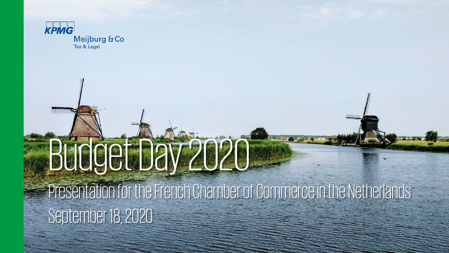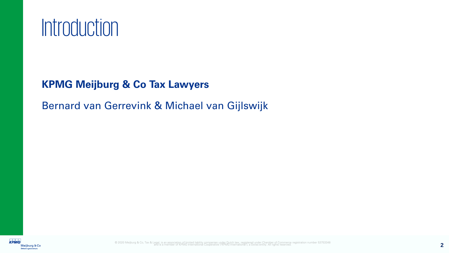

#### **KPMG Meijburg & Co Tax Lawyers**

Bernard van Gerrevink & Michael van Gijlswijk

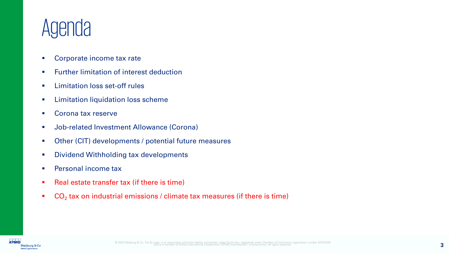## Agenda

- **Corporate income tax rate**
- **Further limitation of interest deduction**
- **EXECUTE:** Limitation loss set-off rules
- **EXECT:** Limitation liquidation loss scheme
- Corona tax reserve
- **Job-related Investment Allowance (Corona)**
- Other (CIT) developments / potential future measures
- **Dividend Withholding tax developments**
- **Personal income tax**
- Real estate transfer tax (if there is time)
- $\bullet$  CO<sub>2</sub> tax on industrial emissions / climate tax measures (if there is time)

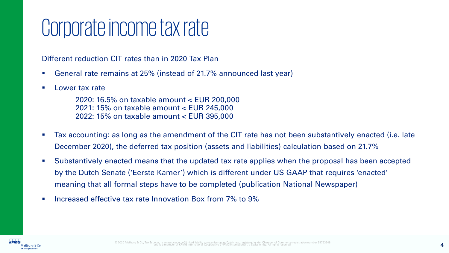## Corporate income tax rate

Different reduction CIT rates than in 2020 Tax Plan

- General rate remains at 25% (instead of 21.7% announced last year)
- **Lower tax rate**

2020: 16.5% on taxable amount < EUR 200,000 2021: 15% on taxable amount < EUR 245,000 2022: 15% on taxable amount < EUR 395,000

- Tax accounting: as long as the amendment of the CIT rate has not been substantively enacted (i.e. late December 2020), the deferred tax position (assets and liabilities) calculation based on 21.7%
- Substantively enacted means that the updated tax rate applies when the proposal has been accepted by the Dutch Senate ('Eerste Kamer') which is different under US GAAP that requires 'enacted' meaning that all formal steps have to be completed (publication National Newspaper)
- Increased effective tax rate Innovation Box from 7% to 9%

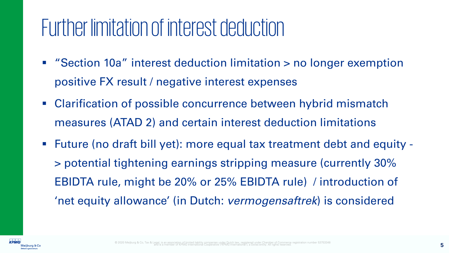## Further limitation of interest deduction

- "Section 10a" interest deduction limitation > no longer exemption positive FX result / negative interest expenses
- Clarification of possible concurrence between hybrid mismatch measures (ATAD 2) and certain interest deduction limitations
- Future (no draft bill yet): more equal tax treatment debt and equity > potential tightening earnings stripping measure (currently 30% EBIDTA rule, might be 20% or 25% EBIDTA rule) / introduction of 'net equity allowance' (in Dutch: *vermogensaftrek*) is considered

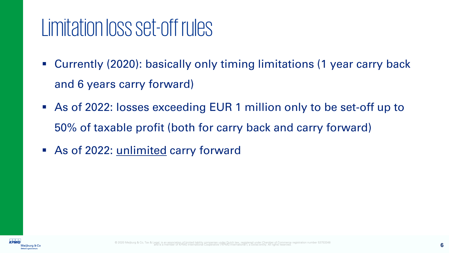### Limitation loss set-off rules

- Currently (2020): basically only timing limitations (1 year carry back and 6 years carry forward)
- As of 2022: losses exceeding EUR 1 million only to be set-off up to 50% of taxable profit (both for carry back and carry forward)
- As of 2022: unlimited carry forward

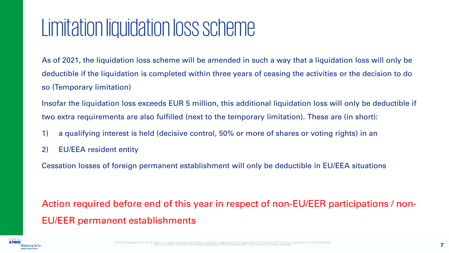#### Limitation liquidation loss scheme

As of 2021, the liquidation loss scheme will be amended in such a way that a liquidation loss will only be deductible if the liquidation is completed within three years of ceasing the activities or the decision to do so (Temporary limitation)

Insofar the liquidation loss exceeds EUR 5 million, this additional liquidation loss will only be deductible if two extra requirements are also fulfilled (next to the temporary limitation). These are (in short):

- 1) a qualifying interest is held (decisive control, 50% or more of shares or voting rights) in an
- 2) EU/EEA resident entity

Cessation losses of foreign permanent establishment will only be deductible in EU/EEA situations

Action required before end of this year in respect of non-EU/EER participations / non-EU/EER permanent establishments

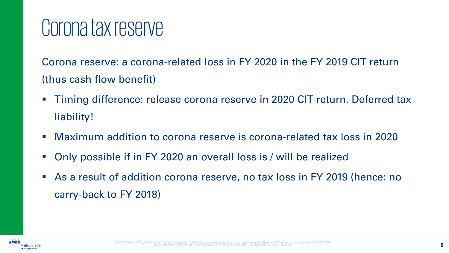#### Corona tax reserve

Corona reserve: a corona-related loss in FY 2020 in the FY 2019 CIT return (thus cash flow benefit)

- **Timing difference: release corona reserve in 2020 CIT return. Deferred tax** liability!
- Maximum addition to corona reserve is corona-related tax loss in 2020
- Only possible if in FY 2020 an overall loss is / will be realized
- As a result of addition corona reserve, no tax loss in FY 2019 (hence: no carry-back to FY 2018)

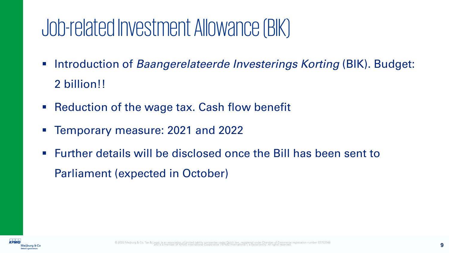## Job-related Investment Allowance (BIK)

- **Introduction of** *Baangerelateerde Investerings Korting* **(BIK). Budget:** 2 billion!!
- Reduction of the wage tax. Cash flow benefit
- Temporary measure: 2021 and 2022
- Further details will be disclosed once the Bill has been sent to Parliament (expected in October)

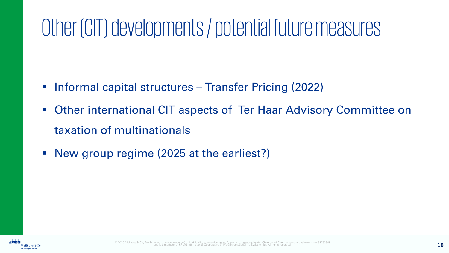## Other (CIT) developments / potential future measures

- **Informal capital structures Transfer Pricing (2022)**
- Other international CIT aspects of Ter Haar Advisory Committee on taxation of multinationals
- New group regime (2025 at the earliest?)

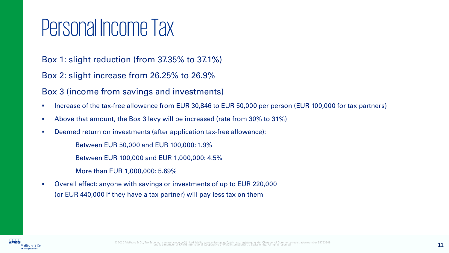## Personal Income Tax

Box 1: slight reduction (from 37.35% to 37.1%)

Box 2: slight increase from 26.25% to 26.9%

Box 3 (income from savings and investments)

- Increase of the tax-free allowance from EUR 30,846 to EUR 50,000 per person (EUR 100,000 for tax partners)
- Above that amount, the Box 3 levy will be increased (rate from 30% to 31%)
- Deemed return on investments (after application tax-free allowance):

Between EUR 50,000 and EUR 100,000: 1.9%

Between EUR 100,000 and EUR 1,000,000: 4.5%

- More than EUR 1,000,000: 5.69%
- Overall effect: anyone with savings or investments of up to EUR 220,000 (or EUR 440,000 if they have a tax partner) will pay less tax on them

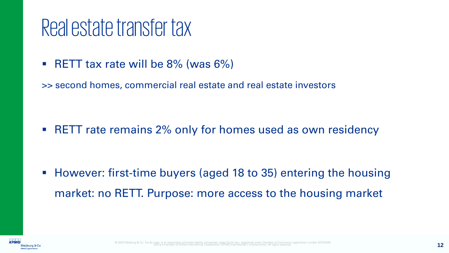#### Real estate transfer tax

- RETT tax rate will be  $8\%$  (was  $6\%)$
- >> second homes, commercial real estate and real estate investors

**RETT** rate remains 2% only for homes used as own residency

**However: first-time buyers (aged 18 to 35) entering the housing** market: no RETT. Purpose: more access to the housing market

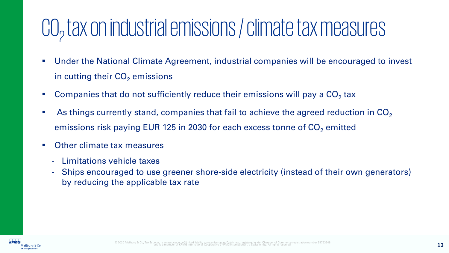# CO<sub>2</sub> tax on industrial emissions / climate tax measures

- Under the National Climate Agreement, industrial companies will be encouraged to invest in cutting their  $CO<sub>2</sub>$  emissions
- Companies that do not sufficiently reduce their emissions will pay a  $CO<sub>2</sub>$  tax
- As things currently stand, companies that fail to achieve the agreed reduction in  $CO<sub>2</sub>$ emissions risk paying EUR 125 in 2030 for each excess tonne of  $CO<sub>2</sub>$  emitted
- **Other climate tax measures** 
	- Limitations vehicle taxes
	- Ships encouraged to use greener shore-side electricity (instead of their own generators) by reducing the applicable tax rate

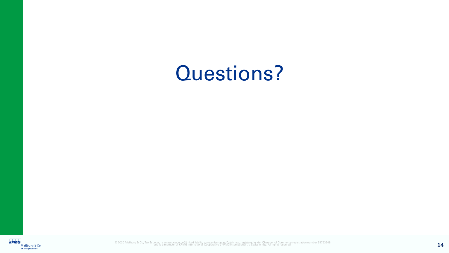#### Questions?

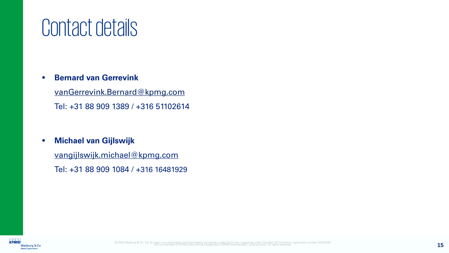#### Contact details

#### **Bernard van Gerrevink**

[vanGerrevink.Bernard@kpmg.com](mailto:vanGerrevink.Bernard@kpmg.com) Tel: +31 88 909 1389 / +316 51102614

#### **Michael van Gijlswijk**

[vangijlswijk.michael@kpmg.com](mailto:Poortinga-vanBurik.Helen@kpmg.com)

Tel: +31 88 909 1084 / +316 16481929